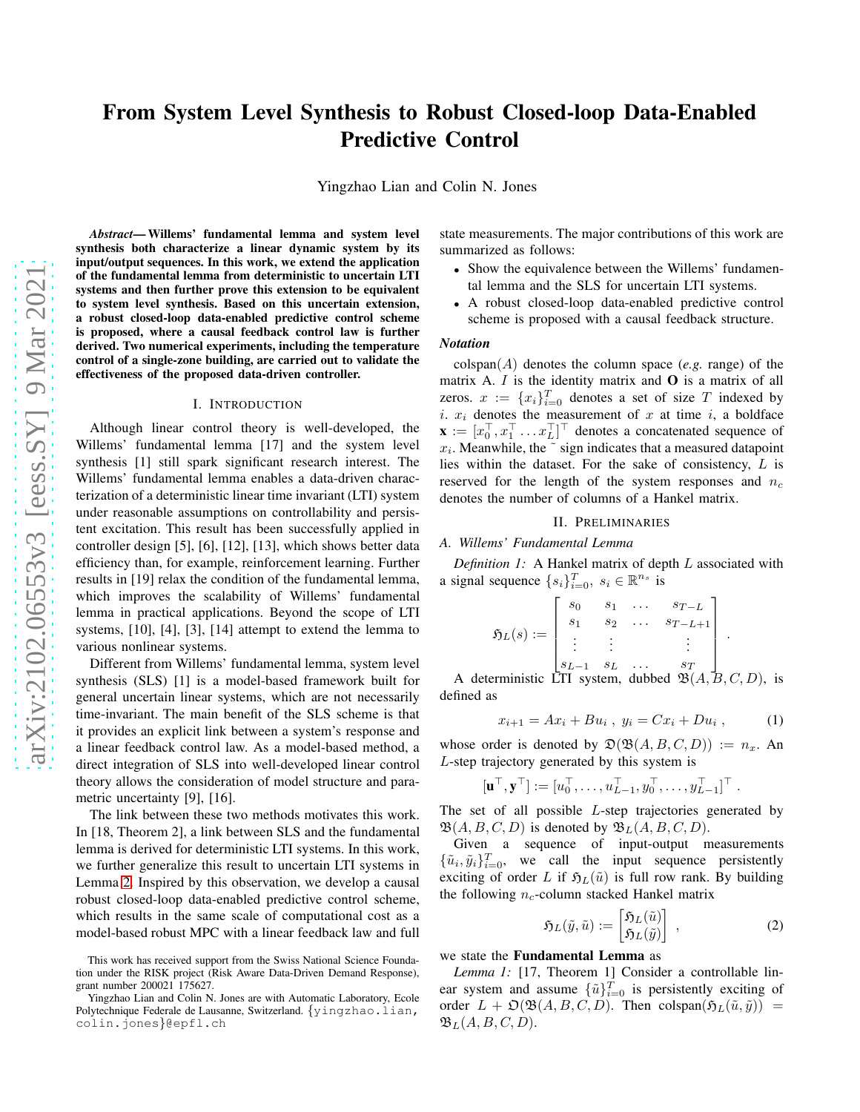# From System Level Synthesis to Robust Closed-loop Data-Enabled Predictive Control

Yingzhao Lian and Colin N. Jones

*Abstract*— Willems' fundamental lemma and system level synthesis both characterize a linear dynamic system by its input/output sequences. In this work, we extend the application of the fundamental lemma from deterministic to uncertain LTI systems and then further prove this extension to be equivalent to system level synthesis. Based on this uncertain extension, a robust closed-loop data-enabled predictive control scheme is proposed, where a causal feedback control law is further derived. Two numerical experiments, including the temperature control of a single-zone building, are carried out to validate the effectiveness of the proposed data-driven controller.

### I. INTRODUCTION

Although linear control theory is well-developed, the Willems' fundamental lemma [17] and the system level synthesis [1] still spark significant research interest. The Willems' fundamental lemma enables a data-driven characterization of a deterministic linear time invariant (LTI) system under reasonable assumptions on controllability and persistent excitation. This result has been successfully applied in controller design [5], [6], [12], [13], which shows better data efficiency than, for example, reinforcement learning. Further results in [19] relax the condition of the fundamental lemma, which improves the scalability of Willems' fundamental lemma in practical applications. Beyond the scope of LTI systems, [10], [4], [3], [14] attempt to extend the lemma to various nonlinear systems.

Different from Willems' fundamental lemma, system level synthesis (SLS) [1] is a model-based framework built for general uncertain linear systems, which are not necessarily time-invariant. The main benefit of the SLS scheme is that it provides an explicit link between a system's response and a linear feedback control law. As a model-based method, a direct integration of SLS into well-developed linear control theory allows the consideration of model structure and parametric uncertainty [9], [16].

The link between these two methods motivates this work. In [18, Theorem 2], a link between SLS and the fundamental lemma is derived for deterministic LTI systems. In this work, we further generalize this result to uncertain LTI systems in Lemma [2.](#page-1-0) Inspired by this observation, we develop a causal robust closed-loop data-enabled predictive control scheme, which results in the same scale of computational cost as a model-based robust MPC with a linear feedback law and full state measurements. The major contributions of this work are summarized as follows:

- Show the equivalence between the Willems' fundamental lemma and the SLS for uncertain LTI systems.
- A robust closed-loop data-enabled predictive control scheme is proposed with a causal feedback structure.

#### *Notation*

 $colspan(A)$  denotes the column space (*e.g.* range) of the matrix A.  $I$  is the identity matrix and  $O$  is a matrix of all zeros.  $x := \{x_i\}_{i=0}^T$  denotes a set of size T indexed by i.  $x_i$  denotes the measurement of  $x$  at time  $i$ , a boldface  $\mathbf{x} := [x_0^\top, x_1^\top \dots x_L^\top]^\top$  denotes a concatenated sequence of  $x_i$ . Meanwhile, the  $\tilde{ }$  sign indicates that a measured datapoint lies within the dataset. For the sake of consistency, L is reserved for the length of the system responses and  $n_c$ denotes the number of columns of a Hankel matrix.

#### II. PRELIMINARIES

*A. Willems' Fundamental Lemma*

*Definition 1:* A Hankel matrix of depth L associated with a signal sequence  $\{s_i\}_{i=0}^T$ ,  $s_i \in \mathbb{R}^{n_s}$  is

$$
\mathfrak{H}_L(s) := \begin{bmatrix} s_0 & s_1 & \dots & s_{T-L} \\ s_1 & s_2 & \dots & s_{T-L+1} \\ \vdots & \vdots & & \vdots \\ s_{L-1} & s_L & \dots & s_T \end{bmatrix}
$$

A deterministic LTI system, dubbed  $\mathfrak{B}(A, B, C, D)$ , is defined as

$$
x_{i+1} = Ax_i + Bu_i \, , \, y_i = Cx_i + Du_i \, , \qquad (1)
$$

.

whose order is denoted by  $\mathfrak{D}(\mathfrak{B}(A, B, C, D)) := n_x$ . An L-step trajectory generated by this system is

$$
[\mathbf{u}^\top, \mathbf{y}^\top] := [u_0^\top, \dots, u_{L-1}^\top, y_0^\top, \dots, y_{L-1}^\top]^\top.
$$

The set of all possible L-step trajectories generated by  $\mathfrak{B}(A, B, C, D)$  is denoted by  $\mathfrak{B}_L(A, B, C, D)$ .

Given a sequence of input-output measurements  $\{\tilde{u}_i, \tilde{y}_i\}_{i=0}^T$ , we call the input sequence persistently exciting of order L if  $\mathfrak{H}_L(\tilde{u})$  is full row rank. By building the following  $n_c$ -column stacked Hankel matrix

<span id="page-0-0"></span>
$$
\mathfrak{H}_L(\tilde{y}, \tilde{u}) := \begin{bmatrix} \mathfrak{H}_L(\tilde{u}) \\ \mathfrak{H}_L(\tilde{y}) \end{bmatrix} , \qquad (2)
$$

## we state the Fundamental Lemma as

*Lemma 1:* [17, Theorem 1] Consider a controllable linear system and assume  $\{\tilde{u}\}_{i=0}^T$  is persistently exciting of order  $L + \mathfrak{O}(\mathfrak{B}(A, B, C, D))$ . Then colspan $(\mathfrak{H}_L(\tilde{u}, \tilde{y}))$  =  $\mathfrak{B}_L(A, B, C, D).$ 

This work has received support from the Swiss National Science Foundation under the RISK project (Risk Aware Data-Driven Demand Response), grant number 200021 175627.

Yingzhao Lian and Colin N. Jones are with Automatic Laboratory, Ecole Polytechnique Federale de Lausanne, Switzerland. {yingzhao.lian, colin.jones}@epfl.ch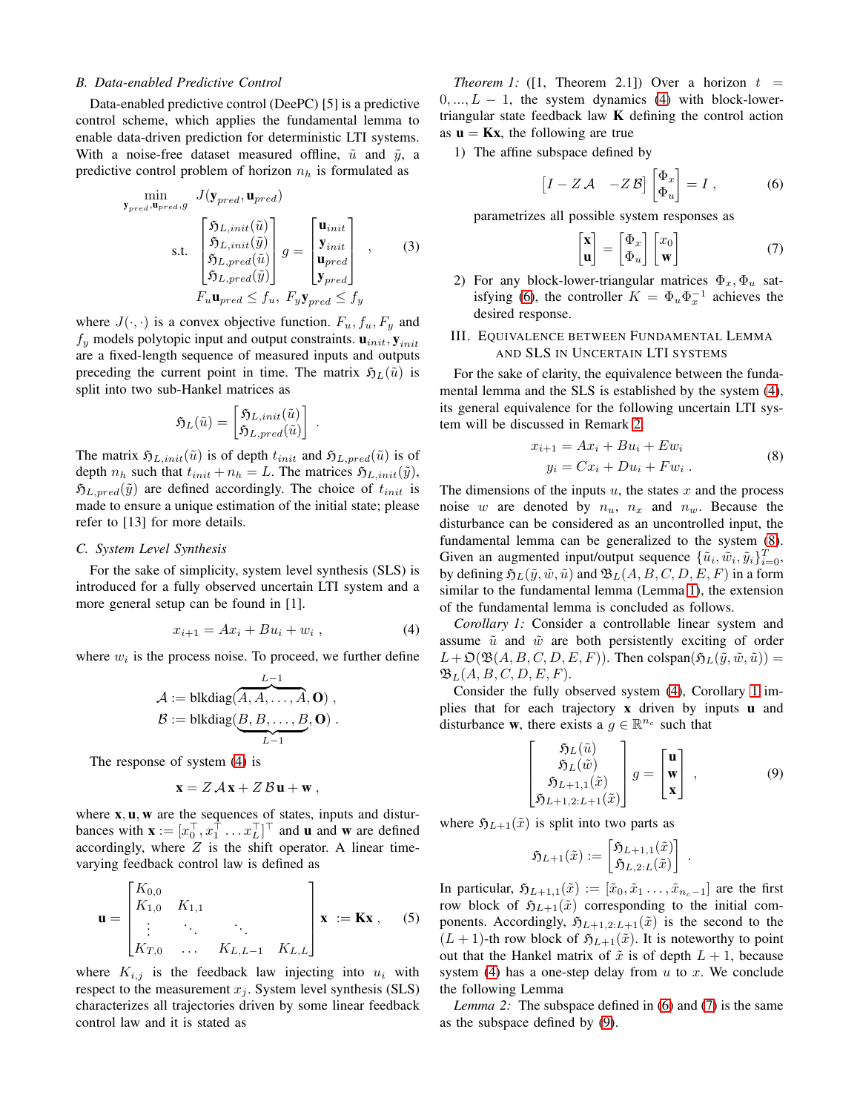## *B. Data-enabled Predictive Control*

Data-enabled predictive control (DeePC) [5] is a predictive control scheme, which applies the fundamental lemma to enable data-driven prediction for deterministic LTI systems. With a noise-free dataset measured offline,  $\tilde{u}$  and  $\tilde{y}$ , a predictive control problem of horizon  $n_h$  is formulated as

$$
\begin{aligned}\n\min_{\mathbf{y}_{pred}, \mathbf{u}_{pred}, g} \quad J(\mathbf{y}_{pred}, \mathbf{u}_{pred}) \\
\text{s.t.} \quad \begin{bmatrix} \mathfrak{H}_{L,init}(\tilde{u}) \\ \mathfrak{H}_{L,init}(\tilde{y}) \\ \mathfrak{H}_{L,pred}(\tilde{u}) \\ \mathfrak{H}_{L,pred}(\tilde{y}) \end{bmatrix} g = \begin{bmatrix} \mathbf{u}_{init} \\ \mathbf{y}_{init} \\ \mathbf{u}_{pred} \end{bmatrix}, \qquad (3) \\
F_{u} \mathbf{u}_{pred} \leq f_{u}, \quad F_{y} \mathbf{y}_{pred} \leq f_{y}\n\end{aligned}
$$

where  $J(\cdot, \cdot)$  is a convex objective function.  $F_u, f_u, F_y$  and  $f_y$  models polytopic input and output constraints.  $\mathbf{u}_{init}$ ,  $\mathbf{y}_{init}$ are a fixed-length sequence of measured inputs and outputs preceding the current point in time. The matrix  $\mathfrak{H}_L(\tilde{u})$  is split into two sub-Hankel matrices as

$$
\mathfrak{H}_L(\tilde{u}) = \begin{bmatrix} \mathfrak{H}_{L,init}(\tilde{u}) \\ \mathfrak{H}_{L,pred}(\tilde{u}) \end{bmatrix}
$$

The matrix  $\mathfrak{H}_{L,init}(\tilde{u})$  is of depth  $t_{init}$  and  $\mathfrak{H}_{L,pred}(\tilde{u})$  is of depth  $n_h$  such that  $t_{init} + n_h = L$ . The matrices  $\mathfrak{H}_{L,init}(\tilde{y})$ ,  $\mathfrak{H}_{L,pred}(\tilde{y})$  are defined accordingly. The choice of  $t_{init}$  is made to ensure a unique estimation of the initial state; please refer to [13] for more details.

## *C. System Level Synthesis*

For the sake of simplicity, system level synthesis (SLS) is introduced for a fully observed uncertain LTI system and a more general setup can be found in [1].

$$
x_{i+1} = Ax_i + Bu_i + w_i , \t\t(4)
$$

.

where  $w_i$  is the process noise. To proceed, we further define

$$
\mathcal{A} := \text{blkdiag}(\overbrace{A, A, \ldots, A}^{L-1}, \mathbf{O}),
$$

$$
\mathcal{B} := \text{blkdiag}(\underbrace{B, B, \ldots, B}_{L-1}, \mathbf{O}).
$$

The response of system [\(4\)](#page-1-1) is

$$
\mathbf{x} = Z \mathcal{A} \mathbf{x} + Z \mathcal{B} \mathbf{u} + \mathbf{w} \ ,
$$

where  $x, u, w$  are the sequences of states, inputs and disturbances with  $\mathbf{x} := [x_0^\top, x_1^\top \dots x_L^\top]^\top$  and **u** and **w** are defined accordingly, where  $Z$  is the shift operator. A linear timevarying feedback control law is defined as

$$
\mathbf{u} = \begin{bmatrix} K_{0,0} & & & \\ K_{1,0} & K_{1,1} & & \\ \vdots & \ddots & \ddots & \\ K_{T,0} & \dots & K_{L,L-1} & K_{L,L} \end{bmatrix} \mathbf{x} := \mathbf{K}\mathbf{x}, \quad (5)
$$

where  $K_{i,j}$  is the feedback law injecting into  $u_i$  with respect to the measurement  $x_i$ . System level synthesis (SLS) characterizes all trajectories driven by some linear feedback control law and it is stated as

*Theorem 1:* ([1, Theorem 2.1]) Over a horizon  $t =$  $0, ..., L - 1$ , the system dynamics [\(4\)](#page-1-1) with block-lowertriangular state feedback law  $K$  defining the control action as  $\mathbf{u} = \mathbf{K}\mathbf{x}$ , the following are true

1) The affine subspace defined by

$$
\begin{bmatrix} I - Z \mathcal{A} & -Z \mathcal{B} \end{bmatrix} \begin{bmatrix} \Phi_x \\ \Phi_u \end{bmatrix} = I , \qquad (6)
$$

parametrizes all possible system responses as

<span id="page-1-5"></span><span id="page-1-2"></span>
$$
\begin{bmatrix} \mathbf{x} \\ \mathbf{u} \end{bmatrix} = \begin{bmatrix} \Phi_x \\ \Phi_u \end{bmatrix} \begin{bmatrix} x_0 \\ \mathbf{w} \end{bmatrix}
$$
 (7)

<span id="page-1-7"></span>2) For any block-lower-triangular matrices  $\Phi_x$ ,  $\Phi_u$  sat-isfying [\(6\)](#page-1-2), the controller  $K = \Phi_u \Phi_x^{-1}$  achieves the desired response.

## III. EQUIVALENCE BETWEEN FUNDAMENTAL LEMMA AND SLS IN UNCERTAIN LTI SYSTEMS

For the sake of clarity, the equivalence between the fundamental lemma and the SLS is established by the system [\(4\)](#page-1-1), its general equivalence for the following uncertain LTI system will be discussed in Remark [2.](#page-2-0)

<span id="page-1-3"></span>
$$
x_{i+1} = Ax_i + Bu_i + Ew_i
$$
  
\n
$$
y_i = Cx_i + Du_i + Fw_i.
$$
\n(8)

The dimensions of the inputs  $u$ , the states  $x$  and the process noise w are denoted by  $n_u$ ,  $n_x$  and  $n_w$ . Because the disturbance can be considered as an uncontrolled input, the fundamental lemma can be generalized to the system [\(8\)](#page-1-3). Given an augmented input/output sequence  $\{\tilde{u}_i, \tilde{w}_i, \tilde{y}_i\}_{i=0}^T$ , by defining  $\mathfrak{H}_L(\tilde{y}, \tilde{w}, \tilde{u})$  and  $\mathfrak{B}_L(A, B, C, D, E, F)$  in a form similar to the fundamental lemma (Lemma [1\)](#page-0-0), the extension of the fundamental lemma is concluded as follows.

<span id="page-1-1"></span>*Corollary 1:* Consider a controllable linear system and assume  $\tilde{u}$  and  $\tilde{w}$  are both persistently exciting of order  $L+\mathfrak{O}(\mathfrak{B}(A, B, C, D, E, F))$ . Then colspan $(\mathfrak{H}_L(\tilde{y}, \tilde{w}, \tilde{u}))=$  $\mathfrak{B}_L(A, B, C, D, E, F).$ 

Consider the fully observed system [\(4\)](#page-1-1), Corollary [1](#page-1-4) implies that for each trajectory x driven by inputs u and disturbance **w**, there exists a  $g \in \mathbb{R}^{n_c}$  such that

<span id="page-1-4"></span>
$$
\begin{bmatrix}\n\mathfrak{H}_L(\tilde{u}) \\
\mathfrak{H}_L(\tilde{w}) \\
\mathfrak{H}_{L+1,1}(\tilde{x}) \\
\mathfrak{H}_{L+1,2:L+1}(\tilde{x})\n\end{bmatrix} g = \begin{bmatrix} \mathbf{u} \\ \mathbf{w} \\ \mathbf{x} \end{bmatrix},
$$
\n(9)

<span id="page-1-6"></span>.

where  $\mathfrak{H}_{L+1}(\tilde{x})$  is split into two parts as

$$
\mathfrak{H}_{L+1}(\tilde{x}):=\begin{bmatrix} \mathfrak{H}_{L+1,1}(\tilde{x}) \\ \mathfrak{H}_{L,2:L}(\tilde{x}) \end{bmatrix}
$$

In particular,  $\mathfrak{H}_{L+1,1}(\tilde{x}) := [\tilde{x}_0, \tilde{x}_1, \ldots, \tilde{x}_{n_c-1}]$  are the first row block of  $\mathfrak{H}_{L+1}(\tilde{x})$  corresponding to the initial components. Accordingly,  $\mathfrak{H}_{L+1,2:L+1}(\tilde{x})$  is the second to the  $(L + 1)$ -th row block of  $\mathfrak{H}_{L+1}(\tilde{x})$ . It is noteworthy to point out that the Hankel matrix of  $\tilde{x}$  is of depth  $L + 1$ , because system [\(4\)](#page-1-1) has a one-step delay from  $u$  to  $x$ . We conclude the following Lemma

<span id="page-1-0"></span>*Lemma 2:* The subspace defined in [\(6\)](#page-1-2) and [\(7\)](#page-1-5) is the same as the subspace defined by [\(9\)](#page-1-6).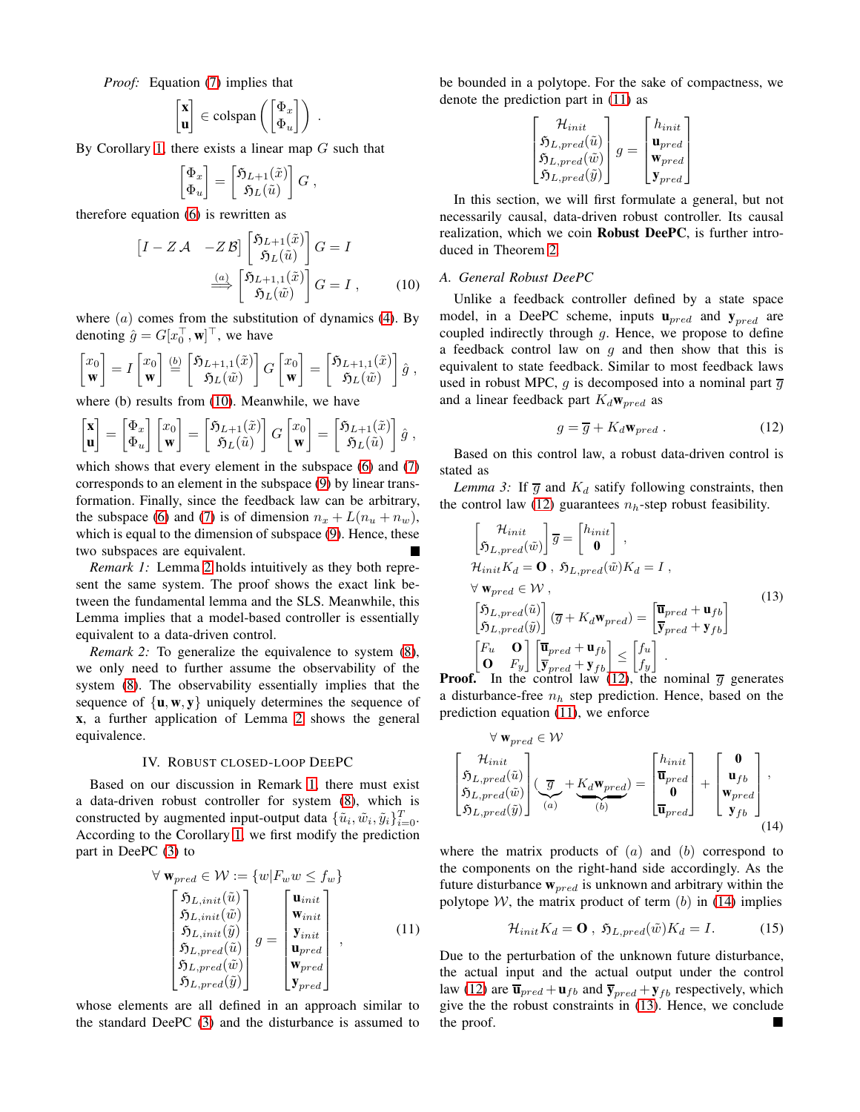*Proof:* Equation [\(7\)](#page-1-5) implies that

$$
\begin{bmatrix} \mathbf{x} \\ \mathbf{u} \end{bmatrix} \in \text{colspan}\left(\begin{bmatrix} \Phi_x \\ \Phi_u \end{bmatrix}\right) .
$$

By Corollary [1,](#page-1-4) there exists a linear map  $G$  such that

$$
\begin{bmatrix} \Phi_x \\ \Phi_u \end{bmatrix} = \begin{bmatrix} \mathfrak{H}_{L+1}(\tilde{x}) \\ \mathfrak{H}_L(\tilde{u}) \end{bmatrix} G ,
$$

therefore equation [\(6\)](#page-1-2) is rewritten as

$$
\begin{bmatrix} I - Z \mathcal{A} & -Z \mathcal{B} \end{bmatrix} \begin{bmatrix} \mathfrak{H}_{L+1}(\tilde{x}) \\ \mathfrak{H}_{L}(\tilde{u}) \end{bmatrix} G = I
$$

$$
\xrightarrow{\underline{(a)}} \begin{bmatrix} \mathfrak{H}_{L+1,1}(\tilde{x}) \\ \mathfrak{H}_{L}(\tilde{w}) \end{bmatrix} G = I , \qquad (10)
$$

where  $(a)$  comes from the substitution of dynamics  $(4)$ . By denoting  $\hat{g} = G[x_0^\top, \mathbf{w}]^\top$ , we have

$$
\begin{bmatrix} x_0 \\ \mathbf{w} \end{bmatrix} = I \begin{bmatrix} x_0 \\ \mathbf{w} \end{bmatrix} \stackrel{(b)}{=} \begin{bmatrix} \mathfrak{H}_{L+1,1}(\tilde{x}) \\ \mathfrak{H}_L(\tilde{w}) \end{bmatrix} G \begin{bmatrix} x_0 \\ \mathbf{w} \end{bmatrix} = \begin{bmatrix} \mathfrak{H}_{L+1,1}(\tilde{x}) \\ \mathfrak{H}_L(\tilde{w}) \end{bmatrix} \hat{g} ,
$$

where (b) results from [\(10\)](#page-2-1). Meanwhile, we have

$$
\begin{bmatrix} \mathbf{x} \\ \mathbf{u} \end{bmatrix} = \begin{bmatrix} \Phi_x \\ \Phi_u \end{bmatrix} \begin{bmatrix} x_0 \\ \mathbf{w} \end{bmatrix} = \begin{bmatrix} \mathfrak{H}_{L+1}(\tilde{x}) \\ \mathfrak{H}_L(\tilde{u}) \end{bmatrix} G \begin{bmatrix} x_0 \\ \mathbf{w} \end{bmatrix} = \begin{bmatrix} \mathfrak{H}_{L+1}(\tilde{x}) \\ \mathfrak{H}_L(\tilde{u}) \end{bmatrix} \hat{g} ,
$$

which shows that every element in the subspace [\(6\)](#page-1-2) and [\(7\)](#page-1-5) corresponds to an element in the subspace [\(9\)](#page-1-6) by linear transformation. Finally, since the feedback law can be arbitrary, the subspace [\(6\)](#page-1-2) and [\(7\)](#page-1-5) is of dimension  $n_x + L(n_u + n_w)$ , which is equal to the dimension of subspace  $(9)$ . Hence, these two subspaces are equivalent.

<span id="page-2-2"></span>*Remark 1:* Lemma [2](#page-1-0) holds intuitively as they both represent the same system. The proof shows the exact link between the fundamental lemma and the SLS. Meanwhile, this Lemma implies that a model-based controller is essentially equivalent to a data-driven control.

<span id="page-2-0"></span>*Remark 2:* To generalize the equivalence to system [\(8\)](#page-1-3), we only need to further assume the observability of the system [\(8\)](#page-1-3). The observability essentially implies that the sequence of  $\{u, w, y\}$  uniquely determines the sequence of x, a further application of Lemma [2](#page-1-0) shows the general equivalence.

#### IV. ROBUST CLOSED-LOOP DEEPC

<span id="page-2-9"></span>Based on our discussion in Remark [1,](#page-2-2) there must exist a data-driven robust controller for system [\(8\)](#page-1-3), which is constructed by augmented input-output data  $\{\tilde{u}_i, \tilde{w}_i, \tilde{y}_i\}_{i=0}^T$ . According to the Corollary [1,](#page-1-4) we first modify the prediction part in DeePC [\(3\)](#page-1-7) to

$$
\forall \mathbf{w}_{pred} \in \mathcal{W} := \{w | F_w w \le f_w \}
$$
\n
$$
\begin{bmatrix}\n\mathfrak{H}_{L,init}(\tilde{u}) \\
\mathfrak{H}_{L,init}(\tilde{w}) \\
\mathfrak{H}_{L,init}(\tilde{y}) \\
\mathfrak{H}_{L,init}(\tilde{u}) \\
\mathfrak{H}_{L,pred}(\tilde{u}) \\
\mathfrak{H}_{L,pred}(\tilde{w}) \\
\mathfrak{H}_{L,pred}(\tilde{y})\n\end{bmatrix} g = \begin{bmatrix}\n\mathbf{u}_{init} \\
\mathbf{w}_{init} \\
\mathbf{v}_{init} \\
\mathbf{u}_{pred} \\
\mathbf{w}_{pred} \\
\mathbf{w}_{pred}\n\end{bmatrix},
$$
\n(11)

whose elements are all defined in an approach similar to the standard DeePC [\(3\)](#page-1-7) and the disturbance is assumed to be bounded in a polytope. For the sake of compactness, we denote the prediction part in [\(11\)](#page-2-3) as

$$
\begin{bmatrix} \mathcal{H}_{init} \\ \mathfrak{H}_{L,pred}(\tilde{u}) \\ \mathfrak{H}_{L,pred}(\tilde{w}) \\ \mathfrak{H}_{L,pred}(\tilde{y}) \end{bmatrix} g = \begin{bmatrix} h_{init} \\ \mathbf{u}_{pred} \\ \mathbf{w}_{pred} \\ \mathbf{y}_{pred} \end{bmatrix}
$$

In this section, we will first formulate a general, but not necessarily causal, data-driven robust controller. Its causal realization, which we coin Robust DeePC, is further introduced in Theorem [2.](#page-3-0)

## <span id="page-2-8"></span><span id="page-2-1"></span>*A. General Robust DeePC*

Unlike a feedback controller defined by a state space model, in a DeePC scheme, inputs  $\mathbf{u}_{pred}$  and  $\mathbf{y}_{pred}$  are coupled indirectly through  $g$ . Hence, we propose to define a feedback control law on  $q$  and then show that this is equivalent to state feedback. Similar to most feedback laws used in robust MPC, g is decomposed into a nominal part  $\overline{g}$ and a linear feedback part  $K_d$ **w**<sub>pred</sub> as

<span id="page-2-6"></span><span id="page-2-4"></span>
$$
g = \overline{g} + K_d \mathbf{w}_{pred} . \tag{12}
$$

<span id="page-2-7"></span>Based on this control law, a robust data-driven control is stated as

*Lemma 3:* If  $\overline{g}$  and  $K_d$  satify following constraints, then the control law [\(12\)](#page-2-4) guarantees  $n<sub>b</sub>$ -step robust feasibility.

$$
\begin{aligned}\n\begin{bmatrix}\n\mathcal{H}_{init} \\
\mathfrak{H}_{L,pred}(\tilde{w})\n\end{bmatrix} \overline{g} &= \begin{bmatrix}\nh_{init} \\
\mathbf{0}\n\end{bmatrix}, \\
\mathcal{H}_{init}K_d &= \mathbf{O}, \ \mathfrak{H}_{L,pred}(\tilde{w})K_d = I, \\
\forall \ \mathbf{w}_{pred} \in \mathcal{W}, \\
\begin{bmatrix}\n\mathfrak{H}_{L,pred}(\tilde{u}) \\
\mathfrak{H}_{L,pred}(\tilde{y})\n\end{bmatrix} (\overline{g} + K_d \mathbf{w}_{pred}) &= \begin{bmatrix}\n\overline{\mathbf{u}}_{pred} + \mathbf{u}_{fb} \\
\overline{\mathbf{y}}_{pred} + \mathbf{y}_{fb}\n\end{bmatrix} \\
\begin{bmatrix}\nF_u & \mathbf{O} \\
\mathbf{O} & F_y\n\end{bmatrix} \begin{bmatrix}\n\overline{\mathbf{u}}_{pred} + \mathbf{u}_{fb} \\
\overline{\mathbf{y}}_{pred} + \mathbf{y}_{fb}\n\end{bmatrix} &\leq \begin{bmatrix}\nf_u \\
f_y\n\end{bmatrix}.\n\end{aligned} \tag{13}
$$
\n
$$
\mathbf{f} \quad \text{In the control law (12), the nominal } \overline{g} \text{ generates}
$$

**Proof.** In the control law [\(12\)](#page-2-4), the nominal  $\overline{g}$  generates a disturbance-free  $n_h$  step prediction. Hence, based on the prediction equation [\(11\)](#page-2-3), we enforce

$$
\forall \mathbf{w}_{pred} \in \mathcal{W}
$$
\n
$$
\begin{bmatrix}\n\mathcal{H}_{init} \\
\mathfrak{H}_{L,pred}(\tilde{u}) \\
\mathfrak{H}_{L,pred}(\tilde{w}) \\
\mathfrak{H}_{L,pred}(\tilde{y})\n\end{bmatrix}\n\begin{bmatrix}\n\overline{g} + \underline{K_d \mathbf{w}_{pred}} \\
\overline{w}_{pred}\n\end{bmatrix} = \begin{bmatrix}\n\overline{\mathbf{u}}_{init} \\
\overline{\mathbf{u}}_{pred} \\
\overline{\mathbf{u}}_{pred}\n\end{bmatrix} + \begin{bmatrix}\n\mathbf{0} \\
\mathbf{u}_{fb} \\
\mathbf{w}_{pred} \\
\mathbf{y}_{fb}\n\end{bmatrix},
$$
\n(14)

where the matrix products of  $(a)$  and  $(b)$  correspond to the components on the right-hand side accordingly. As the future disturbance  $w_{pred}$  is unknown and arbitrary within the polytope  $W$ , the matrix product of term  $(b)$  in [\(14\)](#page-2-5) implies

<span id="page-2-5"></span>
$$
\mathcal{H}_{init} K_d = \mathbf{O} , \ \mathfrak{H}_{L, pred}(\tilde{w}) K_d = I.
$$
 (15)

<span id="page-2-3"></span>Due to the perturbation of the unknown future disturbance, the actual input and the actual output under the control law [\(12\)](#page-2-4) are  $\overline{\mathbf{u}}_{pred} + \mathbf{u}_{fb}$  and  $\overline{\mathbf{y}}_{pred} + \mathbf{y}_{fb}$  respectively, which give the the robust constraints in [\(13\)](#page-2-6). Hence, we conclude the proof.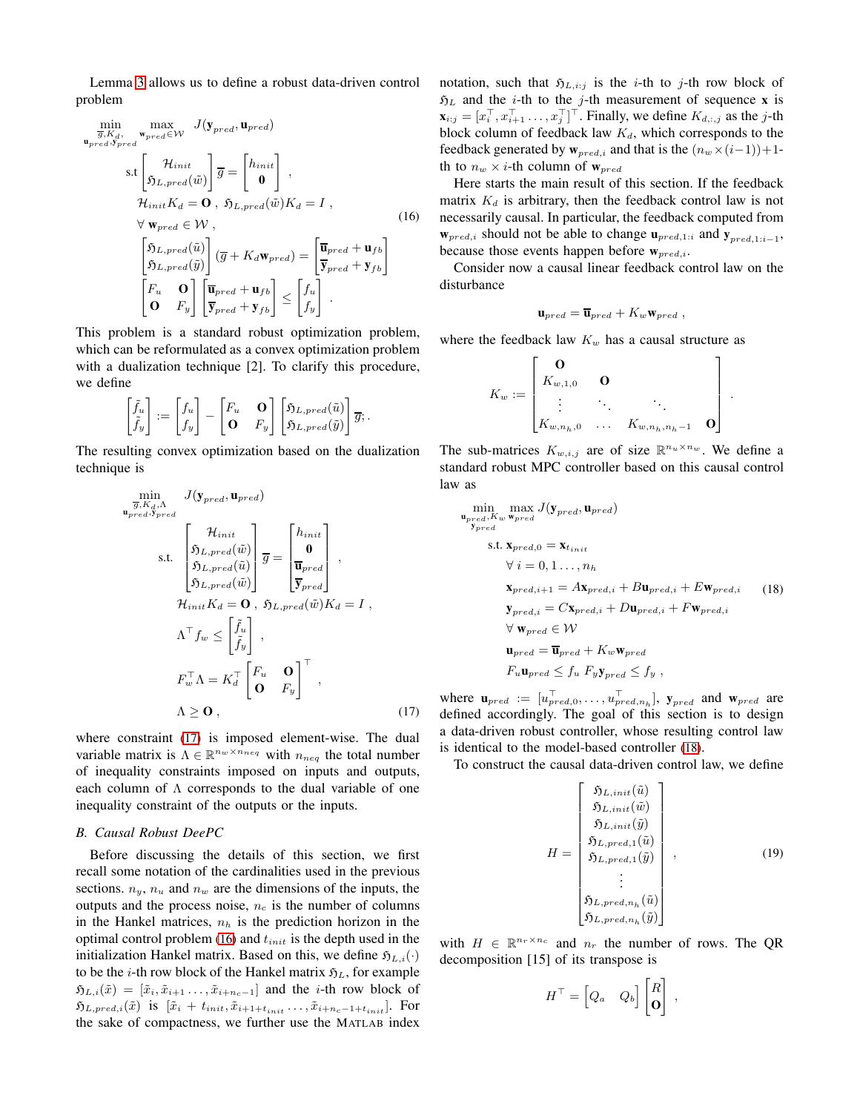Lemma [3](#page-2-7) allows us to define a robust data-driven control problem

$$
\min_{\substack{\overline{g}, K_d, \text{ where } \overline{g} \text{ is the } g_1, \text{ where } \overline{g} \text{ is the } g_2, \text{ where } \overline{g} \text{ is the } g_3, \text{ where } \overline{g} \text{ is the } g_4, \text{ where } \overline{g} \text{ is the } g_5, \text{ where } \overline{g} \text{ is the } g_6, \text{ where } \overline{g} \text{ is the } g_7, \text{ and } \overline{g} \text{ is the } g_7, \text{ and } \overline{g} \text{ is the } g_8, \text{ where } \overline{g} \text{ is the } g_9, \text{ and } \overline{g} \text{ is the } g_9, \text{ and } \overline{g} \text{ is the } g_9, \text{ and } \overline{g} \text{ is the } g_9, \text{ and } \overline{g} \text{ is the } g_9, \text{ and } \overline{g} \text{ is the } g_9, \text{ and } \overline{g} \text{ is the } g_9, \text{ and } \overline{g} \text{ is the } g_9, \text{ and } \overline{g} \text{ is the } g_9, \text{ and } \overline{g} \text{ is the } g_9, \text{ and } \overline{g} \text{ is the } g_9, \text{ and } \overline{g} \text{ is the } g_9, \text{ and } \overline{g} \text{ is the } g_9, \text{ and } \overline{g} \text{ is the } g_9, \text{ and } \overline{g} \text{ is the } g_9, \text{ and } \overline{g} \text{ is the } g_9, \text{ and } \overline{g} \text{ is the } g_9, \text{ and } \overline{g} \text{ is the } g_9, \text{ and } \overline{g} \text{ is the } g_9, \text{ and } \overline{g} \text{ is the } g_9, \text{ and } \overline{g} \text{ is the } g_9, \text{ and } \overline{g} \text{ is the } g_9, \text{ and } \overline{g} \text{ is the } g_9, \text{ and } \overline{g} \text{ is the } g_9, \text{ and } \overline{g} \text{ is the } g_9, \text{ and } \overline{g} \text{ is the } g_9, \text{ and } \overline{g
$$

This problem is a standard robust optimization problem, which can be reformulated as a convex optimization problem with a dualization technique [2]. To clarify this procedure, we define

$$
\begin{bmatrix} \tilde{f}_u \\ \tilde{f}_y \end{bmatrix} := \begin{bmatrix} f_u \\ f_y \end{bmatrix} - \begin{bmatrix} F_u & \mathbf{O} \\ \mathbf{O} & F_y \end{bmatrix} \begin{bmatrix} \mathfrak{H}_{L,pred}(\tilde{u}) \\ \mathfrak{H}_{L,pred}(\tilde{y}) \end{bmatrix} \overline{g}; .
$$

The resulting convex optimization based on the dualization technique is

$$
\min_{\substack{\overline{g}, K_d, \Lambda \\ v_{pred}, \overline{y}_{pred}}} J(\mathbf{y}_{pred}, \mathbf{u}_{pred})
$$
\ns.t. 
$$
\begin{bmatrix} \mathcal{H}_{init} \\ \mathfrak{H}_{L,pred}(\tilde{w}) \\ \mathfrak{H}_{L,pred}(\tilde{w}) \\ \mathfrak{H}_{L,pred}(\tilde{w}) \end{bmatrix} \overline{g} = \begin{bmatrix} h_{init} \\ \mathbf{0} \\ \overline{\mathbf{u}}_{pred} \\ \overline{\mathbf{y}}_{pred} \end{bmatrix},
$$
\n
$$
\mathcal{H}_{init} K_d = \mathbf{0}, \ \mathfrak{H}_{L,pred}(\tilde{w}) K_d = I,
$$
\n
$$
\Lambda^{\top} f_w \leq \begin{bmatrix} \tilde{f}_u \\ \tilde{f}_y \end{bmatrix},
$$
\n
$$
F_w^{\top} \Lambda = K_d^{\top} \begin{bmatrix} F_u & \mathbf{0} \\ \mathbf{0} & F_y \end{bmatrix}^{\top},
$$
\n
$$
\Lambda \geq \mathbf{0}, \qquad (17)
$$

where constraint [\(17\)](#page-3-1) is imposed element-wise. The dual variable matrix is  $\Lambda \in \mathbb{R}^{n_w \times n_{neq}}$  with  $n_{neq}$  the total number of inequality constraints imposed on inputs and outputs, each column of Λ corresponds to the dual variable of one inequality constraint of the outputs or the inputs.

#### *B. Causal Robust DeePC*

Before discussing the details of this section, we first recall some notation of the cardinalities used in the previous sections.  $n_y$ ,  $n_u$  and  $n_w$  are the dimensions of the inputs, the outputs and the process noise,  $n_c$  is the number of columns in the Hankel matrices,  $n_h$  is the prediction horizon in the optimal control problem [\(16\)](#page-3-2) and  $t_{init}$  is the depth used in the initialization Hankel matrix. Based on this, we define  $\mathfrak{H}_{L,i}(\cdot)$ to be the *i*-th row block of the Hankel matrix  $\mathfrak{H}_L$ , for example  $\mathfrak{H}_{L,i}(\tilde{x}) = [\tilde{x}_i, \tilde{x}_{i+1}, \ldots, \tilde{x}_{i+n_c-1}]$  and the *i*-th row block of  $\mathfrak{H}_{L,pred,i}(\tilde{x})$  is  $[\tilde{x}_i + t_{init}, \tilde{x}_{i+1+t_{init}}, \ldots, \tilde{x}_{i+n_c-1+t_{init}}].$  For the sake of compactness, we further use the MATLAB index

notation, such that  $\mathfrak{H}_{L,i:j}$  is the *i*-th to *j*-th row block of  $\mathfrak{H}_L$  and the *i*-th to the *j*-th measurement of sequence **x** is  $\mathbf{x}_{i:j} = [x_i^\top, x_{i+1}^\top \dots, x_j^\top]^\top$ . Finally, we define  $K_{d,i,j}$  as the j-th block column of feedback law  $K_d$ , which corresponds to the feedback generated by  $w_{pred,i}$  and that is the  $(n_w \times (i-1))+1$ th to  $n_w \times i$ -th column of  $w_{pred}$ 

<span id="page-3-2"></span>Here starts the main result of this section. If the feedback matrix  $K_d$  is arbitrary, then the feedback control law is not necessarily causal. In particular, the feedback computed from  $\mathbf{w}_{pred,i}$  should not be able to change  $\mathbf{u}_{pred,1:i}$  and  $\mathbf{y}_{pred,1:i-1}$ , because those events happen before  $w_{pred,i}$ .

Consider now a causal linear feedback control law on the disturbance

$$
\mathbf{u}_{pred} = \overline{\mathbf{u}}_{pred} + K_w \mathbf{w}_{pred} ,
$$

where the feedback law  $K_w$  has a causal structure as

$$
K_w := \begin{bmatrix} \mathbf{O} & & & \\ K_{w,1,0} & \mathbf{O} & & \\ \vdots & \ddots & \ddots & \\ K_{w,n_h,0} & \dots & K_{w,n_h,n_h-1} & \mathbf{O} \end{bmatrix}.
$$

The sub-matrices  $K_{w,i,j}$  are of size  $\mathbb{R}^{n_u \times n_w}$ . We define a standard robust MPC controller based on this causal control law as

$$
\min_{\substack{\mathbf{p}_{pred}, \mathbf{K}_{w} \mathbf{w}_{pred}}} \max_{\substack{\mathbf{y}_{pred}, \mathbf{u}_{pred}}} J(\mathbf{y}_{pred}, \mathbf{u}_{pred})
$$
\n
$$
\text{s.t. } \mathbf{x}_{pred,0} = \mathbf{x}_{t_{init}}
$$
\n
$$
\forall i = 0, 1 \dots, n_h
$$
\n
$$
\mathbf{x}_{pred,i+1} = A\mathbf{x}_{pred,i} + B\mathbf{u}_{pred,i} + E\mathbf{w}_{pred,i} \qquad (18)
$$
\n
$$
\mathbf{y}_{pred,i} = C\mathbf{x}_{pred,i} + D\mathbf{u}_{pred,i} + F\mathbf{w}_{pred,i}
$$
\n
$$
\forall \mathbf{w}_{pred} \in \mathcal{W}
$$
\n
$$
\mathbf{u}_{pred} = \overline{\mathbf{u}}_{pred} + K_{w}\mathbf{w}_{pred}
$$
\n
$$
F_{u}\mathbf{u}_{pred} \leq f_{u} F_{y}\mathbf{y}_{pred} \leq f_{y} \ ,
$$

<span id="page-3-1"></span>where  $\mathbf{u}_{pred} := [u_{pred,0}^{\top}, \dots, u_{pred,n_h}^{\top}], \mathbf{y}_{pred}$  and  $\mathbf{w}_{pred}$  are defined accordingly. The goal of this section is to design a data-driven robust controller, whose resulting control law is identical to the model-based controller [\(18\)](#page-3-3).

To construct the causal data-driven control law, we define

<span id="page-3-3"></span>
$$
H = \begin{bmatrix} \mathfrak{H}_{L,init}(\tilde{u}) \\ \mathfrak{H}_{L,init}(\tilde{w}) \\ \mathfrak{H}_{L,init}(\tilde{y}) \\ \mathfrak{H}_{L,pred,1}(\tilde{u}) \\ \mathfrak{H}_{L,pred,1}(\tilde{y}) \\ \vdots \\ \mathfrak{H}_{L,pred,n_h}(\tilde{u}) \\ \mathfrak{H}_{L,pred,n_h}(\tilde{y}) \end{bmatrix},
$$
(19)

<span id="page-3-0"></span>with  $H \in \mathbb{R}^{n_r \times n_c}$  and  $n_r$  the number of rows. The QR decomposition [15] of its transpose is

$$
H^{\top} = \begin{bmatrix} Q_a & Q_b \end{bmatrix} \begin{bmatrix} R \\ \mathbf{0} \end{bmatrix} ,
$$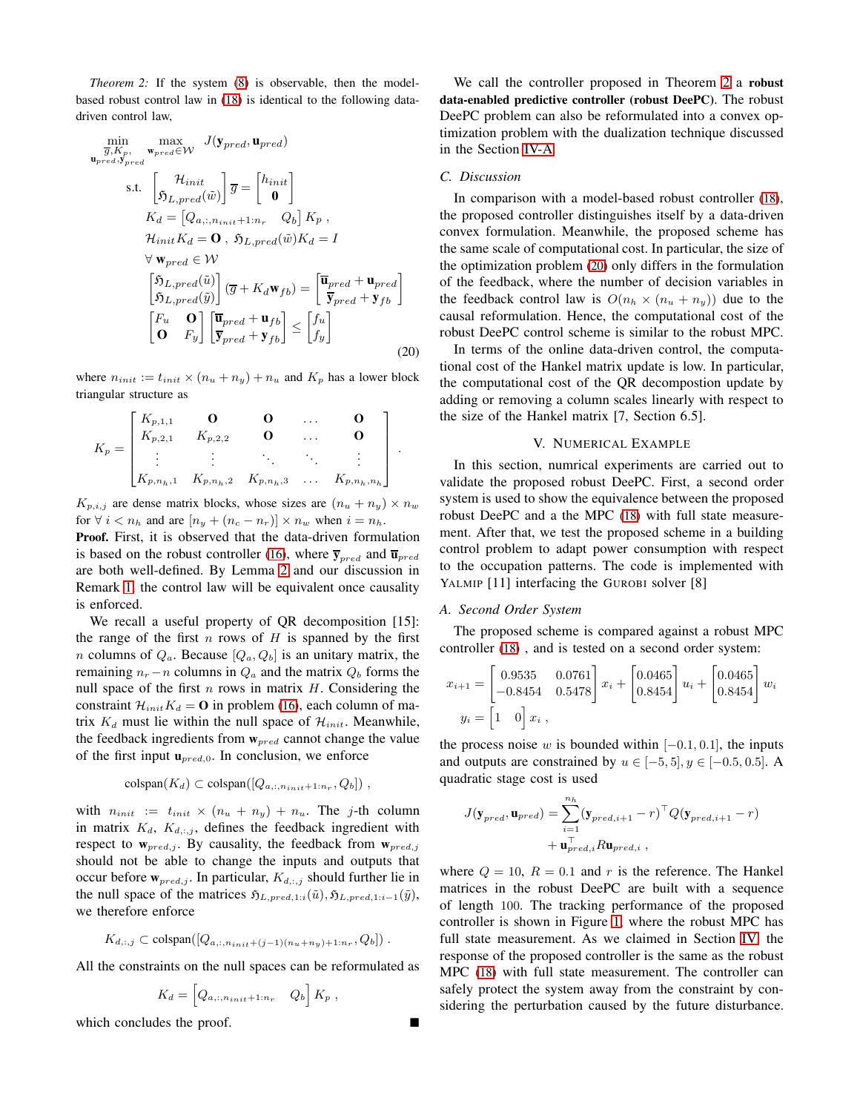*Theorem 2:* If the system [\(8\)](#page-1-3) is observable, then the modelbased robust control law in [\(18\)](#page-3-3) is identical to the following datadriven control law,

$$
\min_{\overline{g}, K_p, \text{ w}_{pred} \in W} \text{ J}(\mathbf{y}_{pred}, \mathbf{u}_{pred})
$$
\n
$$
\text{s.t. } \begin{bmatrix} \mathcal{H}_{init} \\ \mathcal{5}_{L,pred}(\tilde{w}) \end{bmatrix} \overline{g} = \begin{bmatrix} h_{init} \\ \mathbf{0} \end{bmatrix}
$$
\n
$$
K_d = \begin{bmatrix} Q_{a,:,n_{init}+1:n_r} & Q_b \end{bmatrix} K_p,
$$
\n
$$
\mathcal{H}_{init} K_d = \mathbf{O}, \mathcal{5}_{L,pred}(\tilde{w}) K_d = I
$$
\n
$$
\forall \mathbf{w}_{pred} \in \mathcal{W}
$$
\n
$$
\begin{bmatrix} \mathcal{5}_{L,pred}(\tilde{u}) \\ \mathcal{5}_{L,pred}(\tilde{y}) \end{bmatrix} (\overline{g} + K_d \mathbf{w}_{fb}) = \begin{bmatrix} \overline{\mathbf{u}}_{pred} + \mathbf{u}_{pred} \\ \overline{\mathbf{y}}_{pred} + \mathbf{y}_{fb} \end{bmatrix}
$$
\n
$$
\begin{bmatrix} F_u & \mathbf{O} \\ \mathbf{O} & F_y \end{bmatrix} \begin{bmatrix} \overline{\mathbf{u}}_{pred} + \mathbf{u}_{fb} \\ \overline{\mathbf{y}}_{pred} + \mathbf{y}_{fb} \end{bmatrix} \leq \begin{bmatrix} f_u \\ f_y \end{bmatrix}
$$
\n(20)

where  $n_{init} := t_{init} \times (n_u + n_y) + n_u$  and  $K_p$  has a lower block triangular structure as

$$
K_p = \begin{bmatrix} K_{p,1,1} & \mathbf{0} & \mathbf{0} & \dots & \mathbf{0} \\ K_{p,2,1} & K_{p,2,2} & \mathbf{0} & \dots & \mathbf{0} \\ \vdots & \vdots & \ddots & \ddots & \vdots \\ K_{p,n_h,1} & K_{p,n_h,2} & K_{p,n_h,3} & \dots & K_{p,n_h,n_h} \end{bmatrix}.
$$

 $K_{p,i,j}$  are dense matrix blocks, whose sizes are  $(n_u + n_y) \times n_w$ for  $\forall i < n_h$  and are  $[n_y + (n_c - n_r)] \times n_w$  when  $i = n_h$ .

Proof. First, it is observed that the data-driven formulation is based on the robust controller [\(16\)](#page-3-2), where  $\overline{y}_{pred}$  and  $\overline{u}_{pred}$ are both well-defined. By Lemma [2](#page-1-0) and our discussion in Remark [1,](#page-2-2) the control law will be equivalent once causality is enforced.

We recall a useful property of OR decomposition [15]: the range of the first  $n$  rows of  $H$  is spanned by the first *n* columns of  $Q_a$ . Because  $[Q_a, Q_b]$  is an unitary matrix, the remaining  $n_r - n$  columns in  $Q_a$  and the matrix  $Q_b$  forms the null space of the first  $n$  rows in matrix  $H$ . Considering the constraint  $\mathcal{H}_{init}K_d = \mathbf{O}$  in problem [\(16\)](#page-3-2), each column of matrix  $K_d$  must lie within the null space of  $\mathcal{H}_{init}$ . Meanwhile, the feedback ingredients from  $w_{pred}$  cannot change the value of the first input  $\mathbf{u}_{pred,0}$ . In conclusion, we enforce

$$
\text{colspan}(K_d) \subset \text{colspan}([Q_{a,:n_{init}+1:n_r}, Q_b])\;,
$$

with  $n_{init} := t_{init} \times (n_u + n_y) + n_u$ . The j-th column in matrix  $K_d$ ,  $K_{d,i,j}$ , defines the feedback ingredient with respect to  $w_{pred,j}$ . By causality, the feedback from  $w_{pred,j}$ should not be able to change the inputs and outputs that occur before  $w_{pred,j}$ . In particular,  $K_{d,i,j}$  should further lie in the null space of the matrices  $\mathfrak{H}_{L,pred,1:i}(\tilde{u}), \mathfrak{H}_{L,pred,1:i-1}(\tilde{y}),$ we therefore enforce

$$
K_{d,:j} \subset \text{colspan}([Q_{a,:n_{init}+(j-1)(n_u+n_y)+1:n_r},Q_b])
$$
.

All the constraints on the null spaces can be reformulated as

$$
K_d = \left[Q_{a, :, n_{init}+1:n_r} \quad Q_b\right] K_p,
$$

which concludes the proof.

We call the controller proposed in Theorem [2](#page-3-0) a robust data-enabled predictive controller (robust DeePC). The robust DeePC problem can also be reformulated into a convex optimization problem with the dualization technique discussed in the Section [IV-A.](#page-2-8)

## *C. Discussion*

In comparison with a model-based robust controller [\(18\)](#page-3-3), the proposed controller distinguishes itself by a data-driven convex formulation. Meanwhile, the proposed scheme has the same scale of computational cost. In particular, the size of the optimization problem [\(20\)](#page-4-0) only differs in the formulation of the feedback, where the number of decision variables in the feedback control law is  $O(n_h \times (n_u + n_y))$  due to the causal reformulation. Hence, the computational cost of the robust DeePC control scheme is similar to the robust MPC.

<span id="page-4-0"></span>In terms of the online data-driven control, the computational cost of the Hankel matrix update is low. In particular, the computational cost of the QR decompostion update by adding or removing a column scales linearly with respect to the size of the Hankel matrix [7, Section 6.5].

### V. NUMERICAL EXAMPLE

In this section, numrical experiments are carried out to validate the proposed robust DeePC. First, a second order system is used to show the equivalence between the proposed robust DeePC and a the MPC [\(18\)](#page-3-3) with full state measurement. After that, we test the proposed scheme in a building control problem to adapt power consumption with respect to the occupation patterns. The code is implemented with YALMIP [11] interfacing the GUROBI solver [8]

### *A. Second Order System*

The proposed scheme is compared against a robust MPC controller [\(18\)](#page-3-3) , and is tested on a second order system:

$$
x_{i+1} = \begin{bmatrix} 0.9535 & 0.0761 \\ -0.8454 & 0.5478 \end{bmatrix} x_i + \begin{bmatrix} 0.0465 \\ 0.8454 \end{bmatrix} u_i + \begin{bmatrix} 0.0465 \\ 0.8454 \end{bmatrix} w_i
$$

$$
y_i = \begin{bmatrix} 1 & 0 \end{bmatrix} x_i ,
$$

the process noise w is bounded within  $[-0.1, 0.1]$ , the inputs and outputs are constrained by  $u \in [-5, 5], y \in [-0.5, 0.5]$ . A quadratic stage cost is used

$$
J(\mathbf{y}_{pred}, \mathbf{u}_{pred}) = \sum_{i=1}^{n_h} (\mathbf{y}_{pred,i+1} - r)^{\top} Q(\mathbf{y}_{pred,i+1} - r)
$$

$$
+ \mathbf{u}_{pred,i}^{\top} R \mathbf{u}_{pred,i} ,
$$

where  $Q = 10$ ,  $R = 0.1$  and r is the reference. The Hankel matrices in the robust DeePC are built with a sequence of length 100. The tracking performance of the proposed controller is shown in Figure [1,](#page-5-0) where the robust MPC has full state measurement. As we claimed in Section [IV,](#page-2-9) the response of the proposed controller is the same as the robust MPC [\(18\)](#page-3-3) with full state measurement. The controller can safely protect the system away from the constraint by considering the perturbation caused by the future disturbance.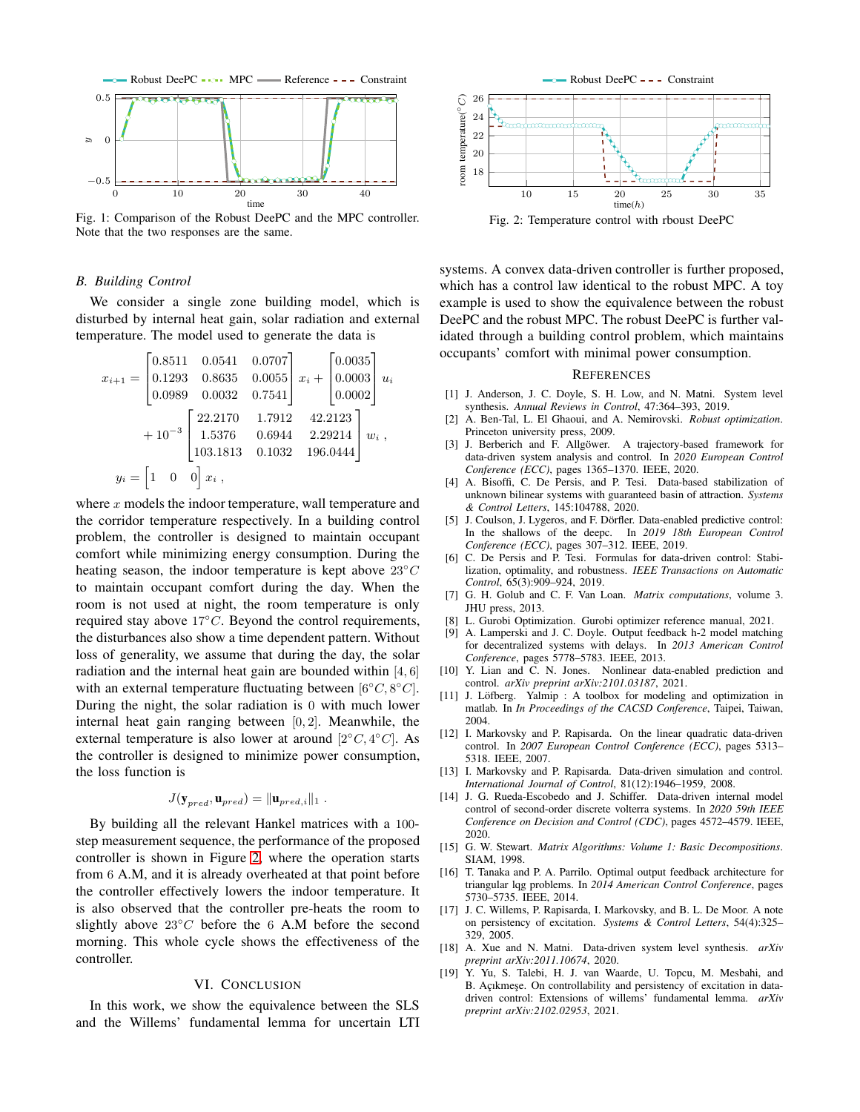<span id="page-5-0"></span>

Fig. 1: Comparison of the Robust DeePC and the MPC controller. Note that the two responses are the same.

#### *B. Building Control*

We consider a single zone building model, which is disturbed by internal heat gain, solar radiation and external temperature. The model used to generate the data is

$$
x_{i+1} = \begin{bmatrix} 0.8511 & 0.0541 & 0.0707 \\ 0.1293 & 0.8635 & 0.0055 \\ 0.0989 & 0.0032 & 0.7541 \end{bmatrix} x_i + \begin{bmatrix} 0.0035 \\ 0.0003 \\ 0.0002 \end{bmatrix} u_i
$$
  
+  $10^{-3} \begin{bmatrix} 22.2170 & 1.7912 & 42.2123 \\ 1.5376 & 0.6944 & 2.29214 \\ 103.1813 & 0.1032 & 196.0444 \end{bmatrix} w_i$ ,  

$$
y_i = \begin{bmatrix} 1 & 0 & 0 \end{bmatrix} x_i
$$
,

where  $x$  models the indoor temperature, wall temperature and the corridor temperature respectively. In a building control problem, the controller is designed to maintain occupant comfort while minimizing energy consumption. During the heating season, the indoor temperature is kept above  $23°C$ to maintain occupant comfort during the day. When the room is not used at night, the room temperature is only required stay above 17◦C. Beyond the control requirements, the disturbances also show a time dependent pattern. Without loss of generality, we assume that during the day, the solar radiation and the internal heat gain are bounded within [4, 6] with an external temperature fluctuating between  $[6^{\circ}C, 8^{\circ}C]$ . During the night, the solar radiation is 0 with much lower internal heat gain ranging between [0, 2]. Meanwhile, the external temperature is also lower at around  $[2^{\circ}C, 4^{\circ}C]$ . As the controller is designed to minimize power consumption, the loss function is

$$
J(\mathbf{y}_{pred}, \mathbf{u}_{pred}) = ||\mathbf{u}_{pred,i}||_1.
$$

By building all the relevant Hankel matrices with a 100 step measurement sequence, the performance of the proposed controller is shown in Figure [2,](#page-5-1) where the operation starts from 6 A.M, and it is already overheated at that point before the controller effectively lowers the indoor temperature. It is also observed that the controller pre-heats the room to slightly above  $23°C$  before the 6 A.M before the second morning. This whole cycle shows the effectiveness of the controller.

#### VI. CONCLUSION

In this work, we show the equivalence between the SLS and the Willems' fundamental lemma for uncertain LTI

<span id="page-5-1"></span>

Fig. 2: Temperature control with rboust DeePC

systems. A convex data-driven controller is further proposed, which has a control law identical to the robust MPC. A toy example is used to show the equivalence between the robust DeePC and the robust MPC. The robust DeePC is further validated through a building control problem, which maintains occupants' comfort with minimal power consumption.

#### **REFERENCES**

- [1] J. Anderson, J. C. Doyle, S. H. Low, and N. Matni. System level synthesis. *Annual Reviews in Control*, 47:364–393, 2019.
- [2] A. Ben-Tal, L. El Ghaoui, and A. Nemirovski. *Robust optimization*. Princeton university press, 2009.
- [3] J. Berberich and F. Allgöwer. A trajectory-based framework for data-driven system analysis and control. In *2020 European Control Conference (ECC)*, pages 1365–1370. IEEE, 2020.
- [4] A. Bisoffi, C. De Persis, and P. Tesi. Data-based stabilization of unknown bilinear systems with guaranteed basin of attraction. *Systems & Control Letters*, 145:104788, 2020.
- [5] J. Coulson, J. Lygeros, and F. Dörfler. Data-enabled predictive control: In the shallows of the deepc. In *2019 18th European Control Conference (ECC)*, pages 307–312. IEEE, 2019.
- [6] C. De Persis and P. Tesi. Formulas for data-driven control: Stabilization, optimality, and robustness. *IEEE Transactions on Automatic Control*, 65(3):909–924, 2019.
- [7] G. H. Golub and C. F. Van Loan. *Matrix computations*, volume 3. JHU press, 2013.
- [8] L. Gurobi Optimization. Gurobi optimizer reference manual, 2021.
- [9] A. Lamperski and J. C. Doyle. Output feedback h-2 model matching for decentralized systems with delays. In *2013 American Control Conference*, pages 5778–5783. IEEE, 2013.
- [10] Y. Lian and C. N. Jones. Nonlinear data-enabled prediction and control. *arXiv preprint arXiv:2101.03187*, 2021.
- [11] J. Löfberg. Yalmip : A toolbox for modeling and optimization in matlab. In *In Proceedings of the CACSD Conference*, Taipei, Taiwan, 2004.
- [12] I. Markovsky and P. Rapisarda. On the linear quadratic data-driven control. In *2007 European Control Conference (ECC)*, pages 5313– 5318. IEEE, 2007.
- [13] I. Markovsky and P. Rapisarda. Data-driven simulation and control. *International Journal of Control*, 81(12):1946–1959, 2008.
- [14] J. G. Rueda-Escobedo and J. Schiffer. Data-driven internal model control of second-order discrete volterra systems. In *2020 59th IEEE Conference on Decision and Control (CDC)*, pages 4572–4579. IEEE, 2020.
- [15] G. W. Stewart. *Matrix Algorithms: Volume 1: Basic Decompositions*. SIAM, 1998.
- [16] T. Tanaka and P. A. Parrilo. Optimal output feedback architecture for triangular lqg problems. In *2014 American Control Conference*, pages 5730–5735. IEEE, 2014.
- [17] J. C. Willems, P. Rapisarda, I. Markovsky, and B. L. De Moor. A note on persistency of excitation. *Systems & Control Letters*, 54(4):325– 329, 2005.
- [18] A. Xue and N. Matni. Data-driven system level synthesis. *arXiv preprint arXiv:2011.10674*, 2020.
- [19] Y. Yu, S. Talebi, H. J. van Waarde, U. Topcu, M. Mesbahi, and B. Açıkmeşe. On controllability and persistency of excitation in datadriven control: Extensions of willems' fundamental lemma. *arXiv preprint arXiv:2102.02953*, 2021.